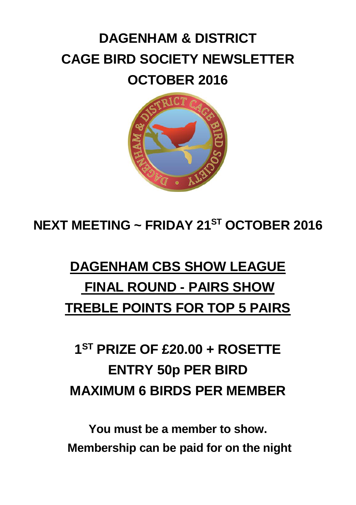# **DAGENHAM & DISTRICT CAGE BIRD SOCIETY NEWSLETTER OCTOBER 2016**



**NEXT MEETING ~ FRIDAY 21ST OCTOBER 2016**

# **DAGENHAM CBS SHOW LEAGUE FINAL ROUND - PAIRS SHOW TREBLE POINTS FOR TOP 5 PAIRS**

# **1 ST PRIZE OF £20.00 + ROSETTE ENTRY 50p PER BIRD MAXIMUM 6 BIRDS PER MEMBER**

**You must be a member to show. Membership can be paid for on the night**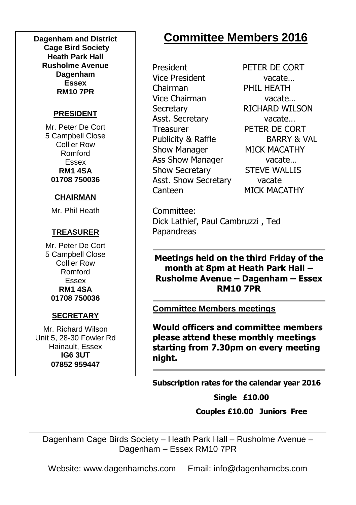**Dagenham and District Cage Bird Society Heath Park Hall Rusholme Avenue Dagenham Essex RM10 7PR**

#### **PRESIDENT**

Mr. Peter De Cort 5 Campbell Close Collier Row Romford Essex **RM1 4SA 01708 750036**

#### **CHAIRMAN**

Mr. Phil Heath

#### **TREASURER**

Mr. Peter De Cort 5 Campbell Close Collier Row Romford Essex **RM1 4SA 01708 750036**

#### **SECRETARY**

Mr. Richard Wilson Unit 5, 28-30 Fowler Rd Hainault, Essex **IG6 3UT 07852 959447**

## **Committee Members 2016**

President PETER DE CORT Vice President vacate… Chairman PHIL HEATH Vice Chairman vacate… Secretary RICHARD WILSON Asst. Secretary vacate... Treasurer PETER DE CORT Publicity & Raffle BARRY & VAL Show Manager MICK MACATHY Ass Show Manager vacate... Show Secretary STEVE WALLIS Asst. Show Secretary vacate Canteen MICK MACATHY

Committee: Dick Lathief, Paul Cambruzzi , Ted Papandreas

**Meetings held on the third Friday of the month at 8pm at Heath Park Hall – Rusholme Avenue – Dagenham – Essex RM10 7PR**

**Committee Members meetings**

**Would officers and committee members please attend these monthly meetings starting from 7.30pm on every meeting night.**

**Subscription rates for the calendar year 2016**

**Single £10.00** 

 **Couples £10.00 Juniors Free**

Dagenham Cage Birds Society – Heath Park Hall – Rusholme Avenue – Dagenham – Essex RM10 7PR

Website: www.dagenhamcbs.com Email: info@dagenhamcbs.com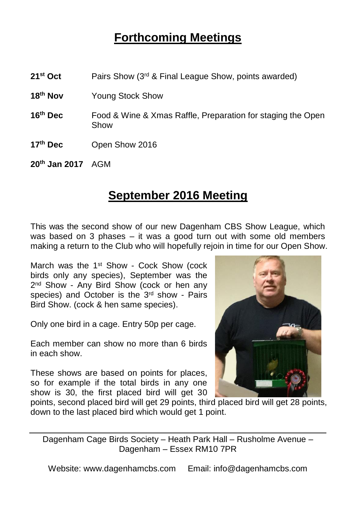### **Forthcoming Meetings**

- **21st Oct** Pairs Show (3rd & Final League Show, points awarded)
- **18th Nov** Young Stock Show
- **16th Dec** Food & Wine & Xmas Raffle, Preparation for staging the Open Show
- **17th Dec** Open Show 2016

**20th Jan 2017** AGM

#### **September 2016 Meeting**

This was the second show of our new Dagenham CBS Show League, which was based on 3 phases – it was a good turn out with some old members making a return to the Club who will hopefully rejoin in time for our Open Show.

March was the 1<sup>st</sup> Show - Cock Show (cock birds only any species), September was the 2<sup>nd</sup> Show - Any Bird Show (cock or hen any species) and October is the  $3<sup>rd</sup>$  show - Pairs Bird Show. (cock & hen same species).

Only one bird in a cage. Entry 50p per cage.

Each member can show no more than 6 birds in each show.

These shows are based on points for places, so for example if the total birds in any one show is 30, the first placed bird will get 30



points, second placed bird will get 29 points, third placed bird will get 28 points, down to the last placed bird which would get 1 point.

Dagenham Cage Birds Society – Heath Park Hall – Rusholme Avenue – Dagenham – Essex RM10 7PR

Website: www.dagenhamcbs.com Email: info@dagenhamcbs.com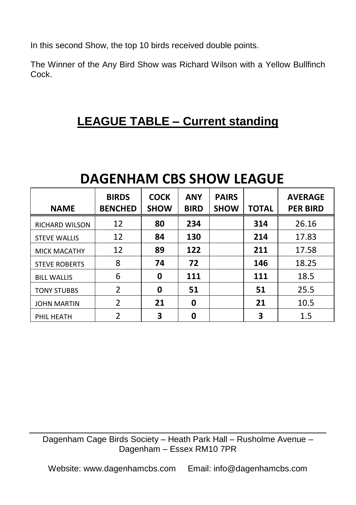In this second Show, the top 10 birds received double points.

The Winner of the Any Bird Show was Richard Wilson with a Yellow Bullfinch Cock.

## **LEAGUE TABLE – Current standing**

# **DAGENHAM CBS SHOW LEAGUE**

| <b>NAME</b>           | <b>BIRDS</b><br><b>BENCHED</b> | <b>COCK</b><br><b>SHOW</b> | <b>ANY</b><br><b>BIRD</b> | <b>PAIRS</b><br><b>SHOW</b> | <b>TOTAL</b> | <b>AVERAGE</b><br><b>PER BIRD</b> |
|-----------------------|--------------------------------|----------------------------|---------------------------|-----------------------------|--------------|-----------------------------------|
| <b>RICHARD WILSON</b> | 12                             | 80                         | 234                       |                             | 314          | 26.16                             |
| <b>STEVE WALLIS</b>   | 12                             | 84                         | 130                       |                             | 214          | 17.83                             |
| <b>MICK MACATHY</b>   | 12                             | 89                         | 122                       |                             | 211          | 17.58                             |
| <b>STEVE ROBERTS</b>  | 8                              | 74                         | 72                        |                             | 146          | 18.25                             |
| <b>BILL WALLIS</b>    | 6                              | 0                          | 111                       |                             | 111          | 18.5                              |
| <b>TONY STUBBS</b>    | 2                              | 0                          | 51                        |                             | 51           | 25.5                              |
| <b>JOHN MARTIN</b>    | $\overline{2}$                 | 21                         | 0                         |                             | 21           | 10.5                              |
| PHIL HEATH            | 2                              | 3                          | 0                         |                             | 3            | 1.5                               |

Dagenham Cage Birds Society – Heath Park Hall – Rusholme Avenue – Dagenham – Essex RM10 7PR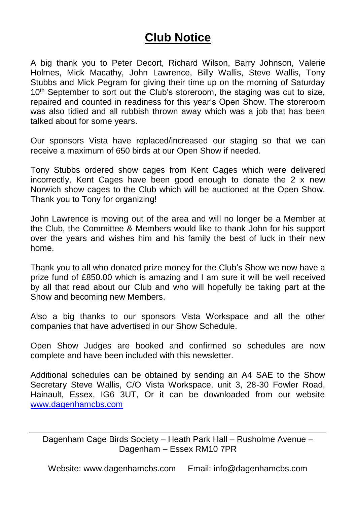### **Club Notice**

A big thank you to Peter Decort, Richard Wilson, Barry Johnson, Valerie Holmes, Mick Macathy, John Lawrence, Billy Wallis, Steve Wallis, Tony Stubbs and Mick Pegram for giving their time up on the morning of Saturday 10<sup>th</sup> September to sort out the Club's storeroom, the staging was cut to size. repaired and counted in readiness for this year's Open Show. The storeroom was also tidied and all rubbish thrown away which was a job that has been talked about for some years.

Our sponsors Vista have replaced/increased our staging so that we can receive a maximum of 650 birds at our Open Show if needed.

Tony Stubbs ordered show cages from Kent Cages which were delivered incorrectly, Kent Cages have been good enough to donate the 2 x new Norwich show cages to the Club which will be auctioned at the Open Show. Thank you to Tony for organizing!

John Lawrence is moving out of the area and will no longer be a Member at the Club, the Committee & Members would like to thank John for his support over the years and wishes him and his family the best of luck in their new home.

Thank you to all who donated prize money for the Club's Show we now have a prize fund of £850.00 which is amazing and I am sure it will be well received by all that read about our Club and who will hopefully be taking part at the Show and becoming new Members.

Also a big thanks to our sponsors Vista Workspace and all the other companies that have advertised in our Show Schedule.

Open Show Judges are booked and confirmed so schedules are now complete and have been included with this newsletter.

Additional schedules can be obtained by sending an A4 SAE to the Show Secretary Steve Wallis, C/O Vista Workspace, unit 3, 28-30 Fowler Road, Hainault, Essex, IG6 3UT, Or it can be downloaded from our website [www.dagenhamcbs.com](http://www.dagenhamcbs.com/)

Dagenham Cage Birds Society – Heath Park Hall – Rusholme Avenue – Dagenham – Essex RM10 7PR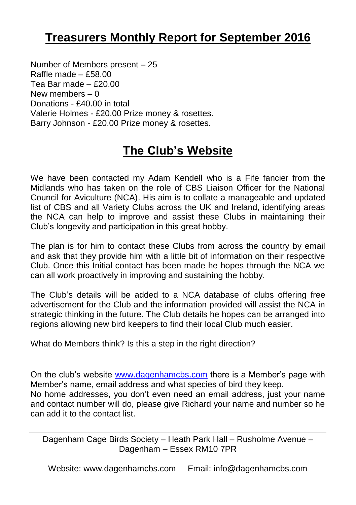### **Treasurers Monthly Report for September 2016**

Number of Members present – 25 Raffle made – £58.00 Tea Bar made – £20.00 New members  $= 0$ Donations - £40.00 in total Valerie Holmes - £20.00 Prize money & rosettes. Barry Johnson - £20.00 Prize money & rosettes.

## **The Club's Website**

We have been contacted my Adam Kendell who is a Fife fancier from the Midlands who has taken on the role of CBS Liaison Officer for the National Council for Aviculture (NCA). His aim is to collate a manageable and updated list of CBS and all Variety Clubs across the UK and Ireland, identifying areas the NCA can help to improve and assist these Clubs in maintaining their Club's longevity and participation in this great hobby.

The plan is for him to contact these Clubs from across the country by email and ask that they provide him with a little bit of information on their respective Club. Once this Initial contact has been made he hopes through the NCA we can all work proactively in improving and sustaining the hobby.

The Club's details will be added to a NCA database of clubs offering free advertisement for the Club and the information provided will assist the NCA in strategic thinking in the future. The Club details he hopes can be arranged into regions allowing new bird keepers to find their local Club much easier.

What do Members think? Is this a step in the right direction?

On the club's website [www.dagenhamcbs.com](http://www.dagenhamcbs.com/) there is a Member's page with Member's name, email address and what species of bird they keep. No home addresses, you don't even need an email address, just your name and contact number will do, please give Richard your name and number so he can add it to the contact list.

Dagenham Cage Birds Society – Heath Park Hall – Rusholme Avenue – Dagenham – Essex RM10 7PR

Website: www.dagenhamcbs.com Email: info@dagenhamcbs.com